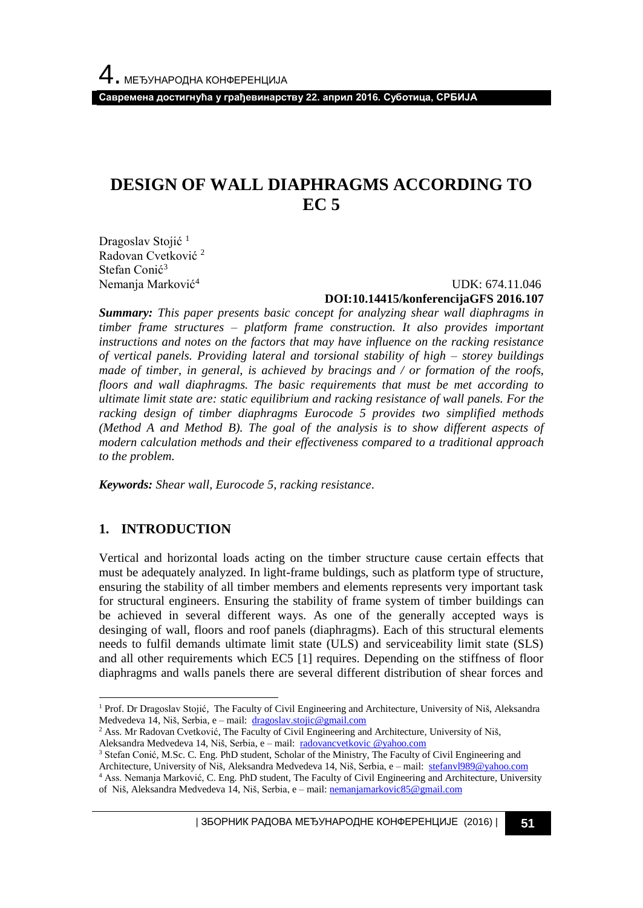**Савремена достигнућа у грађевинарству 22. април 2016. Суботица, СРБИЈА**

# **DESIGN OF WALL DIAPHRAGMS ACCORDING TO EC 5**

Dragoslav Stojić<sup>1</sup> Radovan Cvetković <sup>2</sup> Stefan Conić<sup>3</sup> Nemanja Marković<sup>4</sup>

 UDK: 674.11.046 **DOI:10.14415/konferencijaGFS 2016.107**

*Summary: This paper presents basic concept for analyzing shear wall diaphragms in timber frame structures – platform frame construction. It also provides important instructions and notes on the factors that may have influence on the racking resistance of vertical panels. Providing lateral and torsional stability of high – storey buildings made of timber, in general, is achieved by bracings and / or formation of the roofs, floors and wall diaphragms. The basic requirements that must be met according to ultimate limit state are: static equilibrium and racking resistance of wall panels. For the racking design of timber diaphragms Eurocode 5 provides two simplified methods (Method A and Method B). The goal of the analysis is to show different aspects of modern calculation methods and their effectiveness compared to a traditional approach to the problem.*

*Keywords: Shear wall, Eurocode 5, racking resistance.*

## **1. INTRODUCTION**

l

Vertical and horizontal loads acting on the timber structure cause certain effects that must be adequately analyzed. In light-frame buldings, such as platform type of structure, ensuring the stability of all timber members and elements represents very important task for structural engineers. Ensuring the stability of frame system of timber buildings can be achieved in several different ways. As one of the generally accepted ways is desinging of wall, floors and roof panels (diaphragms). Each of this structural elements needs to fulfil demands ultimate limit state (ULS) and serviceability limit state (SLS) and all other requirements which EC5 [1] requires. Depending on the stiffness of floor diaphragms and walls panels there are several different distribution of shear forces and

<sup>1</sup> Prof. Dr Dragoslav Stojić, The Faculty of Civil Engineering and Architecture, University of Niš, Aleksandra Medvedeva 14, Niš, Serbia, e – mail: [dragoslav.stojic@gmail.com](mailto:dragoslav.stojic@gmail.com)

<sup>&</sup>lt;sup>2</sup> Ass. Mr Radovan Cvetković, The Faculty of Civil Engineering and Architecture, University of Niš, Aleksandra Medvedeva 14, Niš, Serbia, e – mail: [radovancvetkovic @yahoo.com](mailto:dragoslav.stojic@gmail.com)

<sup>&</sup>lt;sup>3</sup> Stefan Conić, M.Sc. C. Eng. PhD student, Scholar of the Ministry, The Faculty of Civil Engineering and

Architecture, University of Niš, Aleksandra Medvedeva 14, Niš, Serbia, e – mail: [stefanvl989@yahoo.com](mailto:stefanvl989@yahoo.com)

<sup>4</sup> Ass. Nemanja Marković, C. Eng. PhD student, The Faculty of Civil Engineering and Architecture, University of Niš, Aleksandra Medvedeva 14, Niš, Serbia, e – mail: [nemanjamarkovic85@gmail.com](mailto:nemanjamarkovic85@gmail.com)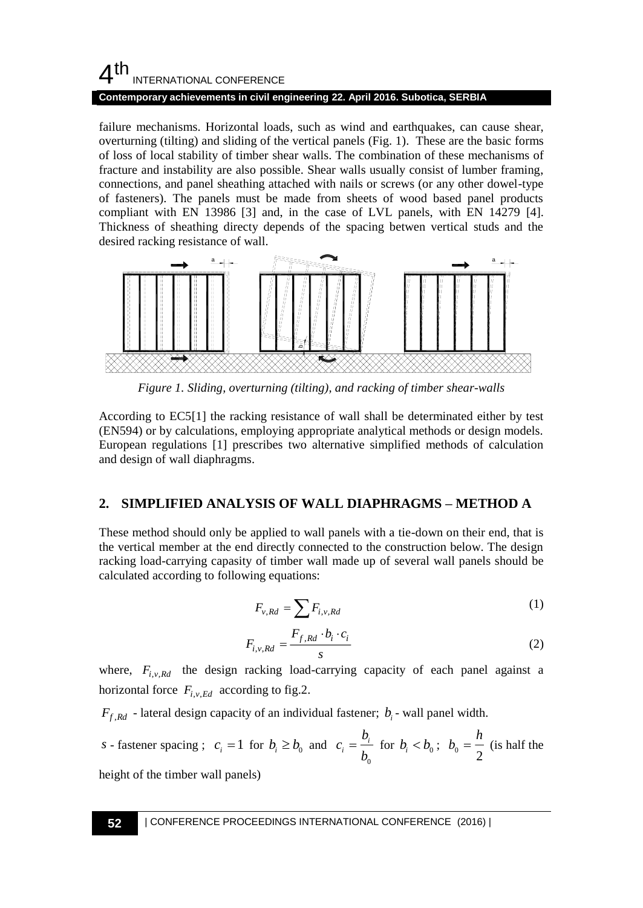## $4<sup>th</sup>$ INTERNATIONAL CONFERENCE

#### **Contemporary achievements in civil engineering 22. April 2016. Subotica, SERBIA**

failure mechanisms. Horizontal loads, such as wind and earthquakes, can cause shear, overturning (tilting) and sliding of the vertical panels (Fig. 1). These are the basic forms of loss of local stability of timber shear walls. The combination of these mechanisms of fracture and instability are also possible. Shear walls usually consist of lumber framing, connections, and panel sheathing attached with nails or screws (or any other dowel-type of fasteners). The panels must be made from sheets of wood based panel products compliant with EN 13986 [3] and, in the case of LVL panels, with EN 14279 [4]. Thickness of sheathing directy depends of the spacing betwen vertical studs and the desired racking resistance of wall.



*Figure 1. Sliding, overturning (tilting), and racking of timber shear-walls*

According to EC5[1] the racking resistance of wall shall be determinated either by test (EN594) or by calculations, employing appropriate analytical methods or design models. European regulations [1] prescribes two alternative simplified methods of calculation and design of wall diaphragms.

## **2. SIMPLIFIED ANALYSIS OF WALL DIAPHRAGMS – METHOD A**

These method should only be applied to wall panels with a tie-down on their end, that is the vertical member at the end directly connected to the construction below. The design racking load-carrying capasity of timber wall made up of several wall panels should be calculated according to following equations:

$$
F_{v, Rd} = \sum F_{i, v, Rd}
$$
 (1)

$$
F_{i,v,Rd} = \frac{F_{f,Rd} \cdot b_i \cdot c_i}{s} \tag{2}
$$

where,  $F_{i, v, Rd}$  the design racking load-carrying capacity of each panel against a horizontal force  $F_{i,v,Ed}$  according to fig.2.

 $F_{f, Rd}$  - lateral design capacity of an individual fastener;  $b_i$  - wall panel width.

s - faster spacing ; 
$$
c_i = 1
$$
 for  $b_i \ge b_0$  and  $c_i = \frac{b_i}{b_0}$  for  $b_i < b_0$ ;  $b_0 = \frac{h}{2}$  (is half the

height of the timber wall panels)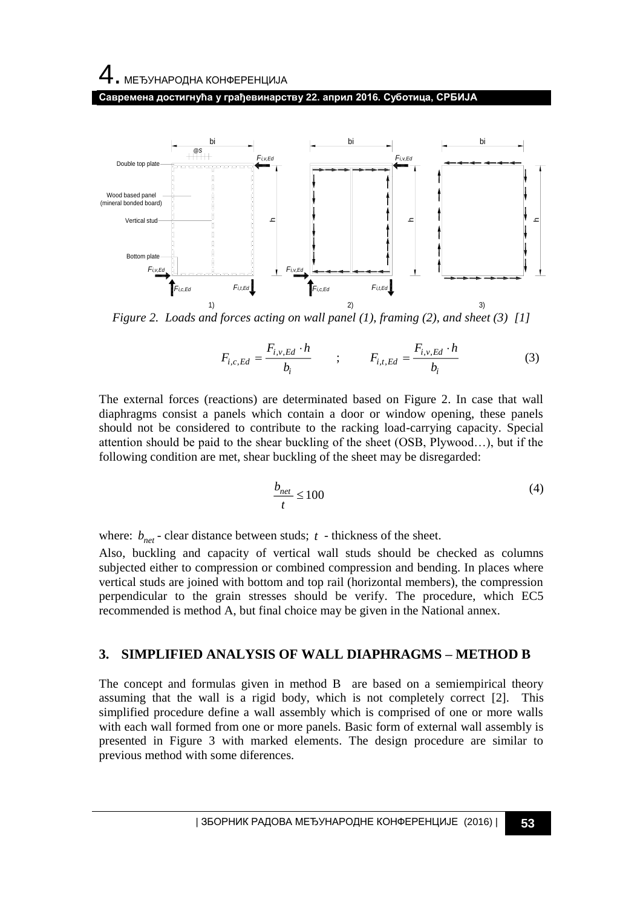# 4. МЕЂУНАРОДНА КОНФЕРЕНЦИЈА

**Савремена достигнућа у грађевинарству 22. април 2016. Суботица, СРБИЈА**



*Figure 2. Loads and forces acting on wall panel (1), framing (2), and sheet (3) [1]*

$$
F_{i,c,Ed} = \frac{F_{i,v,Ed} \cdot h}{b_i} \qquad ; \qquad F_{i,t,Ed} = \frac{F_{i,v,Ed} \cdot h}{b_i} \tag{3}
$$

The external forces (reactions) are determinated based on Figure 2. In case that wall diaphragms consist a panels which contain a door or window opening, these panels should not be considered to contribute to the racking load-carrying capacity. Special attention should be paid to the shear buckling of the sheet (OSB, Plywood…), but if the following condition are met, shear buckling of the sheet may be disregarded:

$$
\frac{b_{net}}{t} \le 100\tag{4}
$$

where:  $b_{net}$  - clear distance between studs;  $t$  - thickness of the sheet.

Also, buckling and capacity of vertical wall studs should be checked as columns subjected either to compression or combined compression and bending. In places where vertical studs are joined with bottom and top rail (horizontal members), the compression perpendicular to the grain stresses should be verify. The procedure, which EC5 recommended is method A, but final choice may be given in the National annex.

## **3. SIMPLIFIED ANALYSIS OF WALL DIAPHRAGMS – METHOD B**

The concept and formulas given in method B are based on a semiempirical theory assuming that the wall is a rigid body, which is not completely correct [2]. This simplified procedure define a wall assembly which is comprised of one or more walls with each wall formed from one or more panels. Basic form of external wall assembly is presented in Figure 3 with marked elements. The design procedure are similar to previous method with some diferences.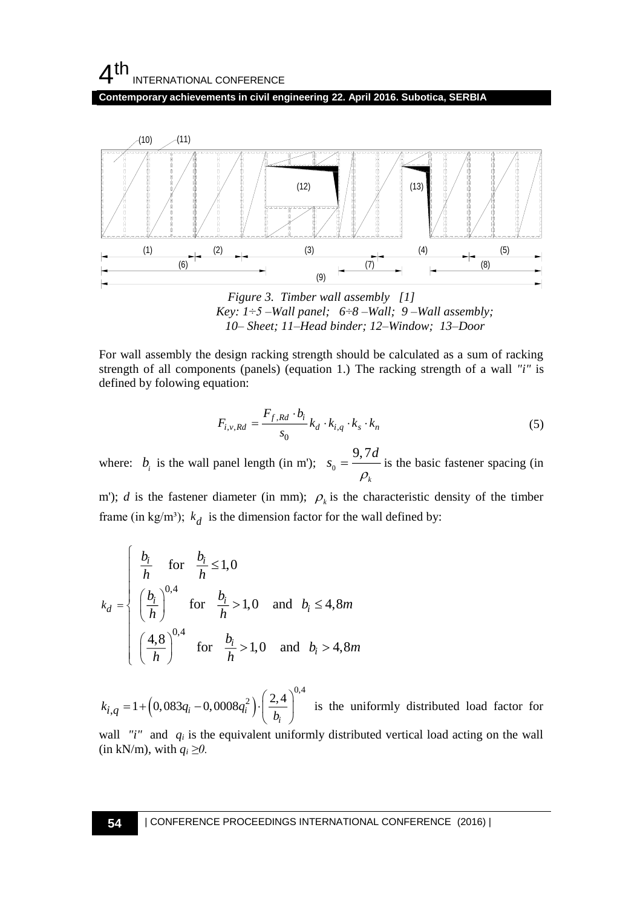## $4<sup>th</sup>$ INTERNATIONAL CONFERENCE

**Contemporary achievements in civil engineering 22. April 2016. Subotica, SERBIA**



*Figure 3. Timber wall assembly [1] Key: 1÷5 –Wall panel; 6÷8 –Wall; 9 –Wall assembly; 10– Sheet; 11–Head binder; 12–Window; 13–Door*

For wall assembly the design racking strength should be calculated as a sum of racking strength of all components (panels) (equation 1.) The racking strength of a wall *"i"* is defined by folowing equation:

$$
F_{i,v,Rd} = \frac{F_{f,Rd} \cdot b_i}{s_0} k_d \cdot k_{i,q} \cdot k_s \cdot k_n \tag{5}
$$

where:  $b_i$  is the wall panel length (in m');  $s_0$ 9, 7 *k*  $s_{0} = \frac{9,7d}{ }$  $\rho$  $=\frac{1}{\sqrt{1-\frac{1}{c}}}$  is the basic fastener spacing (in

m'); *d* is the fastener diameter (in mm);  $\rho_k$  is the characteristic density of the timber frame (in kg/m<sup>3</sup>);  $k_d$  is the dimension factor for the wall defined by:

$$
k_d = \begin{cases} \frac{b_i}{h} & \text{for } \frac{b_i}{h} \le 1, 0 \\ \left(\frac{b_i}{h}\right)^{0,4} & \text{for } \frac{b_i}{h} > 1, 0 \text{ and } b_i \le 4, 8m \\ \left(\frac{4,8}{h}\right)^{0,4} & \text{for } \frac{b_i}{h} > 1, 0 \text{ and } b_i > 4, 8m \end{cases}
$$

 $(0.083q_i - 0.0008q_i^2) \cdot \left(\frac{2.4}{h}\right)^{0.4}$ 2  $k_{i,q} = 1 + \left(0,083q_i - 0,0008q_i^2\right) \cdot \left(\frac{2,4}{b_i}\right)$  $(2.4)$  $= 1 + (0.083q_i - 0.0008q_i^2) \cdot \left(\frac{2.94}{b_i}\right)$  is the uniformly distributed load factor for

wall *"i"* and  $q_i$  is the equivalent uniformly distributed vertical load acting on the wall (in kN/m), with  $q_i \ge 0$ .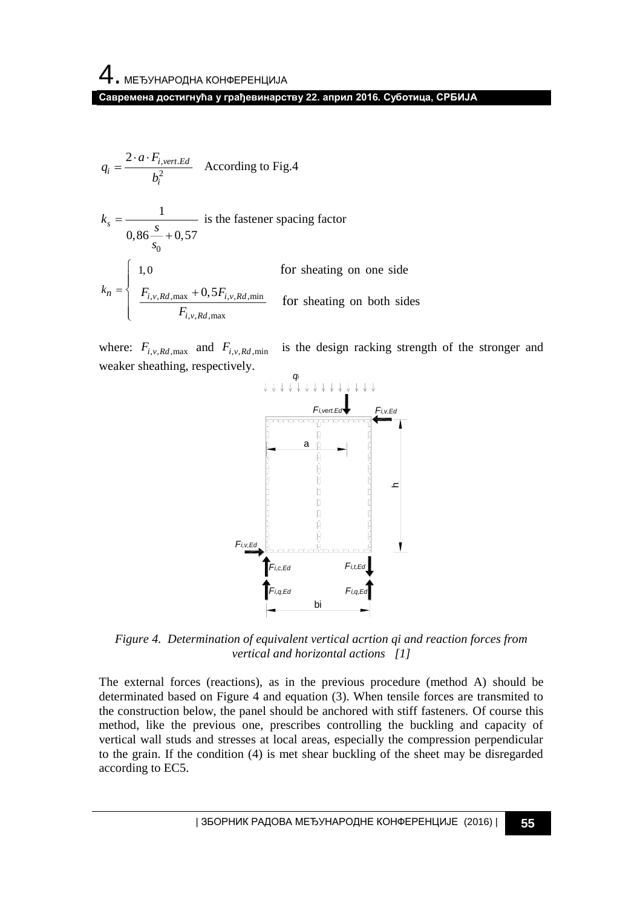$$
q_i = \frac{2 \cdot a \cdot F_{i,vert. Ed}}{b_i^2}
$$
 According to Fig.4

$$
k_s = \frac{1}{0.86 \frac{s}{s_0} + 0.57}
$$
 is the faster spacing factor  
\n
$$
k_n = \begin{cases}\n1.0 & \text{for sheating on one side} \\
\frac{F_{i,v, Rd, \text{max}} + 0.5F_{i,v, Rd, \text{min}}}{F_{i,v, Rd, \text{max}}}\n\end{cases}
$$
for sheating on both sides

where:  $F_{i,v, Rd, max}$  and  $F_{i,v, Rd, min}$  is the design racking strength of the stronger and weaker sheathing, respectively.



*Figure 4. Determination of equivalent vertical acrtion qi and reaction forces from vertical and horizontal actions [1]*

The external forces (reactions), as in the previous procedure (method A) should be determinated based on Figure 4 and equation (3). When tensile forces are transmited to the construction below, the panel should be anchored with stiff fasteners. Of course this method, like the previous one, prescribes controlling the buckling and capacity of vertical wall studs and stresses at local areas, especially the compression perpendicular to the grain. If the condition (4) is met shear buckling of the sheet may be disregarded according to EC5.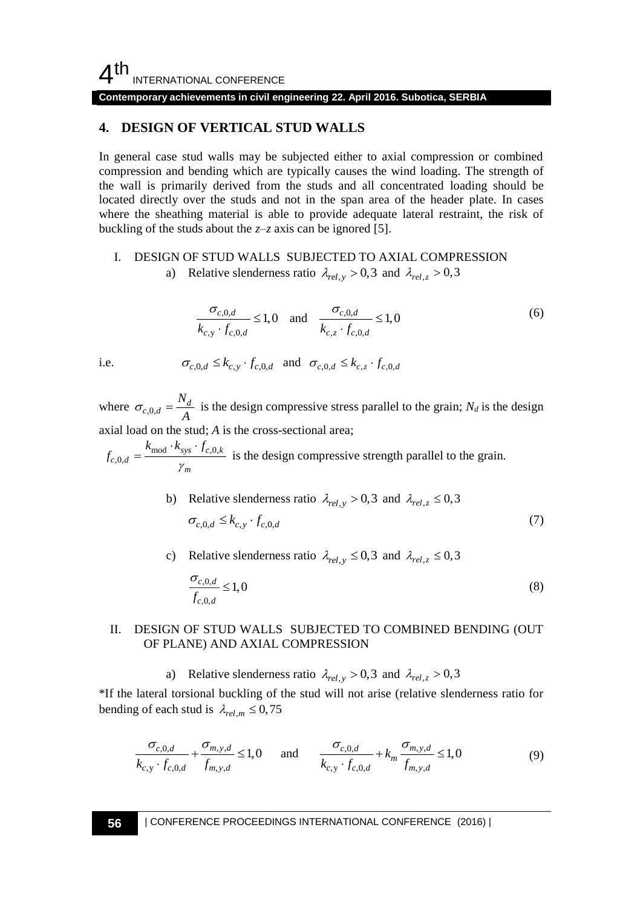$4<sup>th</sup>$ INTERNATIONAL CONFERENCE

**Contemporary achievements in civil engineering 22. April 2016. Subotica, SERBIA**

## **4. DESIGN OF VERTICAL STUD WALLS**

In general case stud walls may be subjected either to axial compression or combined compression and bending which are typically causes the wind loading. The strength of the wall is primarily derived from the studs and all concentrated loading should be located directly over the studs and not in the span area of the header plate. In cases where the sheathing material is able to provide adequate lateral restraint, the risk of buckling of the studs about the *z*–*z* axis can be ignored [5].

I. DESIGN OF STUD WALLS SUBJECTED TO AXIAL COMPRESSION a) Relative slenderness ratio  $\lambda_{rel,y} > 0.3$  and  $\lambda_{rel,z} > 0.3$ 

$$
\frac{\sigma_{c,0,d}}{k_{c,y} \cdot f_{c,0,d}} \le 1,0 \quad \text{and} \quad \frac{\sigma_{c,0,d}}{k_{c,z} \cdot f_{c,0,d}} \le 1,0 \tag{6}
$$

i.e.

$$
\sigma_{c,0,d} \leq k_{c,y} \cdot f_{c,0,d}
$$
 and  $\sigma_{c,0,d} \leq k_{c,z} \cdot f_{c,0,d}$ 

where  $\sigma_{c,0,d} = \frac{N_d}{4}$ *N*  $\sigma_{c,0,d} = \frac{N_d}{A}$  is the design compressive stress parallel to the grain; *N<sub>d</sub>* is the design axial load on the stud; *A* is the cross-sectional area;

mod  $\kappa_{sys}$   $J_{c,0}$ ,  $\sum_{c,0,d}^{\mathbf{r}} = \frac{\kappa_{\text{mod}} \cdot \kappa_{\text{sys}} \cdot f_{c,0,k}}{\gamma_m}$  $k_{\rm mod} \cdot k_{\rm sys} \cdot f_{\rm s}$  $f_{c,0,d} = \frac{\text{mod } 3}{\gamma}$  $=\frac{\kappa_{\text{mod}} \cdot \kappa_{\text{sys}} \cdot J_{c,0,k}}{m}$  is the design compressive strength parallel to the grain.

- b) Relative slenderness ratio  $\lambda_{rel,y} > 0.3$  and  $\lambda_{rel,z} \le 0.3$  $\sigma_{c,0,d} \leq k_{c,y} \cdot f_{c,0,d}$  (7)
- c) Relative slenderness ratio  $\lambda_{rel,y} \le 0.3$  and  $\lambda_{rel,z} \le 0.3$

$$
\frac{\sigma_{c,0,d}}{f_{c,0,d}} \le 1,0\tag{8}
$$

## II. DESIGN OF STUD WALLS SUBJECTED TO COMBINED BENDING (OUT OF PLANE) AND AXIAL COMPRESSION

a) Relative slenderness ratio  $\lambda_{rel,y} > 0.3$  and  $\lambda_{rel,z} > 0.3$ 

\*If the lateral torsional buckling of the stud will not arise (relative slenderness ratio for bending of each stud is  $\lambda_{rel,m} \leq 0.75$ 

$$
\frac{\sigma_{c,0,d}}{k_{c,y} \cdot f_{c,0,d}} + \frac{\sigma_{m,y,d}}{f_{m,y,d}} \le 1,0 \quad \text{and} \quad \frac{\sigma_{c,0,d}}{k_{c,y} \cdot f_{c,0,d}} + k_m \frac{\sigma_{m,y,d}}{f_{m,y,d}} \le 1,0 \tag{9}
$$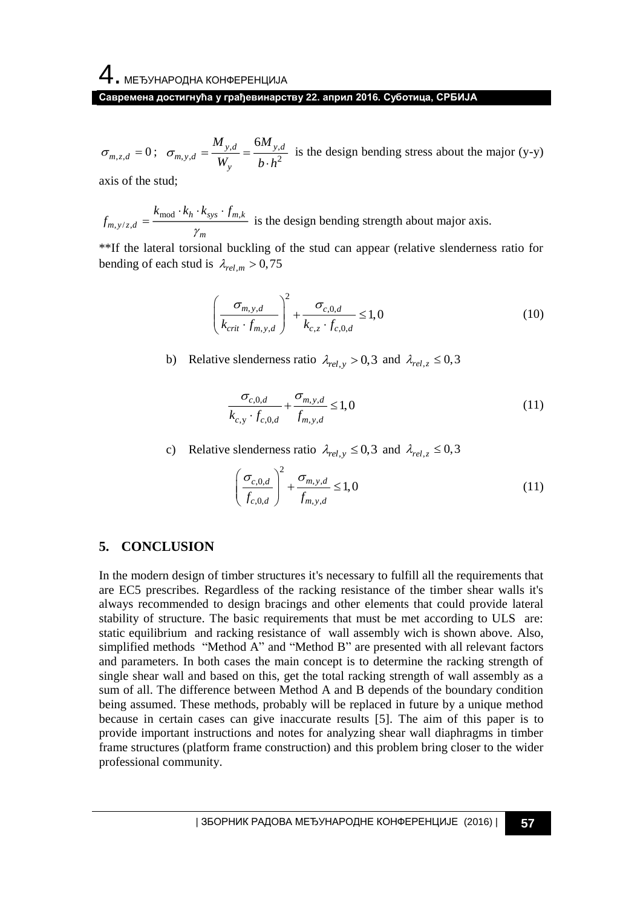4. МЕЂУНАРОДНА КОНФЕРЕНЦИЈА **Савремена достигнућа у грађевинарству 22. април 2016. Суботица, СРБИЈА**

 $\sigma_{m,z,d} = 0$ ;  $\sigma_{m,y,d} = \frac{y,a}{W} = \frac{y,a}{1+2}$  $_{y,d}$  6*M*<sub>y,d</sub>  $w_y$ <sup>*d*</sup>  $W_y$ *M*<sub>*n*d</sub> 6*M*  $\sigma_{m, y, d} = \frac{1}{W_y} = \frac{1}{b \cdot h}$ is the design bending stress about the major (y-y)

axis of the stud;

$$
f_{m,y/z,d} = \frac{k_{\text{mod}} \cdot k_h \cdot k_{\text{sys}} \cdot f_{m,k}}{\gamma_m}
$$
 is the design bending strength about major axis.

\*\*If the lateral torsional buckling of the stud can appear (relative slenderness ratio for bending of each stud is  $\lambda_{rel,m} > 0.75$ 

$$
\left(\frac{\sigma_{m,y,d}}{k_{crit} \cdot f_{m,y,d}}\right)^2 + \frac{\sigma_{c,0,d}}{k_{c,z} \cdot f_{c,0,d}} \le 1,0
$$
\n(10)

b) Relative slenderness ratio  $\lambda_{rel,y} > 0.3$  and  $\lambda_{rel,z} \le 0.3$ 

$$
\frac{\sigma_{c,0,d}}{k_{c,y} \cdot f_{c,0,d}} + \frac{\sigma_{m,y,d}}{f_{m,y,d}} \le 1,0
$$
\n(11)

c) Relative slenderness ratio  $\lambda_{rel,y} \le 0.3$  and  $\lambda_{rel,z} \le 0.3$ 

$$
\left(\frac{\sigma_{c,0,d}}{f_{c,0,d}}\right)^2 + \frac{\sigma_{m,y,d}}{f_{m,y,d}} \le 1,0\tag{11}
$$

## **5. CONCLUSION**

In the modern design of timber structures it's necessary to fulfill all the requirements that are EC5 prescribes. Regardless of the racking resistance of the timber shear walls it's always recommended to design bracings and other elements that could provide lateral stability of structure. The basic requirements that must be met according to ULS are: static equilibrium and racking resistance of wall assembly wich is shown above. Also, simplified methods "Method A" and "Method B" are presented with all relevant factors and parameters. In both cases the main concept is to determine the racking strength of single shear wall and based on this, get the total racking strength of wall assembly as a sum of all. The difference between Method A and B depends of the boundary condition being assumed. These methods, probably will be replaced in future by a unique method because in certain cases can give inaccurate results [5]. The aim of this paper is to provide important instructions and notes for analyzing shear wall diaphragms in timber frame structures (platform frame construction) and this problem bring closer to the wider professional community.